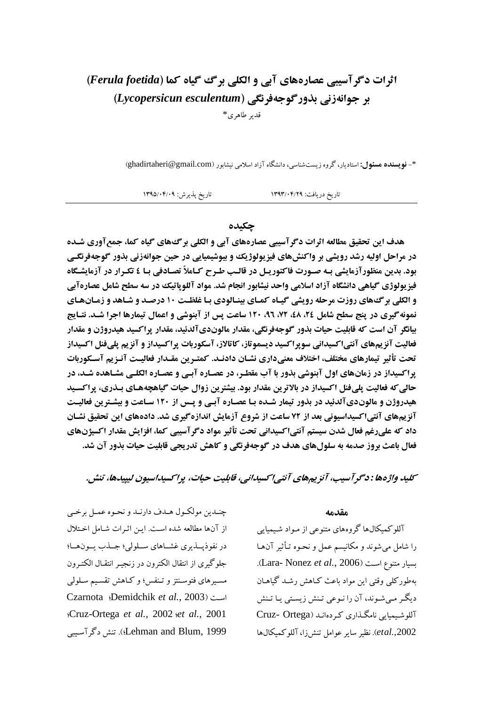# اثرات دگر آسیبی عصارههای آبی و الکلی برگ گیاه کما (Ferula foetida) بر جوانهزني بذور گوجهفرنگي (Lycopersicun esculentum) قدىر طاھرى\*

\*- نویسنده مسئول: استادیار، گروه زیستشناسی، دانشگاه آزاد اسلامی نیشابور (ghadirtaheri@gmail.com)

تاريخ پذيرش: ١٣٩٥/٠۴/٠٩ تاريخ دريافت: ١٣٩٣/٠۴/٢٩

### جكىدە

هدف این تحقیق مطالعه اثرات دگر آسیبی عصارههای آبی و الکلی بر گ های گیاه کما، جمع آوری شـده در مراحل اولیه رشد رویشی بر واکنشهای فیزیولوژیک و بیوشیمیایی در حین جوانهزنی بذور گوجهفرنگـی بود. بدین منظورآزمایشی بـه صـورت فاکتوریـل در قالـب طـرح کـاملاً تصـادفی بـا ٤ تکـرار در آزمایشـگاه فیز یولوژی گیاهی دانشگاه آزاد اسلامی واحد نیشابور انجام شد. مواد آللویاتیک در سه سطح شامل عصارهآبی و الکلی بر گ&ای روزت مرحله رویشی گیـاه کمـای بینـالودی بـا غلظـت ١٠ درصـد و شـاهد و زمـانهـای نمونه گیری در پنج سطح شامل ٢٤، ٤٨، ٢٢، ٩٦، ١٢٠ ساعت پس از آبنوشي و اعمال تیمارها اجرا شـد. نتـايج بيانگر آن است كه قابليت حيات بذور گوجهفرنگي، مقدار مالونديآلدئيد، مقدار پراكسيد هيدروژن و مقدار فعالیت آنزیمهای آنتی|کسیدانی سویراکسید دیسموتاز، کاتالاز، آسکوربات پراکسیداز و آنزیم پلیفنل اکسیداز تحت تأثير تيمارهاي مختلف، اختلاف معنىداري نشـان دادنـد. كمتـرين مقـدار فعاليـت آنـزيم آسـكوربات یر اکسیداز در زمانهای اول آبنوشی بذور با آب مقطـر، در عصـاره آبـی و عصـاره الکلـی مشـاهده شـد، در حالی که فعالیت پلیفنل اکسیداز در بالاترین مقدار بود. بیشترین زوال حیات گیاهچههـای بـذری، پراکسـید هیدروژن و مالوندیآلدئید در بذور تیمار شـده بـا عصـاره آبـی و پـس از ۱۲۰ سـاعت و بیشـترین فعالیـت آنزیمهای آنتیاکسیداسیونی بعد از ۷۲ ساعت از شروع آزمایش اندازهگیری شد. دادههای این تحقیق نشـان داد که علیرغم فعال شدن سیستم آنتیاکسیدانی تحت تأثیر مواد دگرآسیبی کما، افزایش مقدار اکسیژنهای فعال باعث بروز صدمه به سلولهای هدف در گوجهفرنگی و کاهش تدریجی قابلیت حیات بذور آن شد.

#### كليد واژهها : دگر آسيب، آنزيمهاي آنتي/كسيداني، قابليت حيات، پراكسيداسيون ليپيدها، تنش.

چنـدين مولكـول هـدف دارنـد و نحـوه عمـل برخـي از آنها مطالعه شده است. این اثـرات شـامل اخـتلال در نفوذپلديري غشاهاي سلولي؛ جلذب يونها؛ جلوگیری از انتقال الکترون در زنجیـر انتقـال الکتـرون مسيرهاي فتوسنتز و تـنفس؛ و كـاهش تقسيم سـلولي Czarnota (Demidchik et al., 2003) :Cruz-Ortega et al., 2002 set al., 2001 Lehman and Blum, 1999؛. تنش دگر آسیبی

#### مقدمه

آللوکمیکالها گروههای متنوعی از مـواد شـیمیایی را شامل می شوند و مکانیسم عمل و نحـوه تـأثیر آنهـا .(Lara- Nonez et al., 2006). بهطوركلي وقتى اين مواد باعث كـاهش رشـد گياهـان دیگر مبی شوند، آن را نـوعی تـنش زیسـتی پـا تـنش آللو شیمیایی نامگذاری که دهاند (Cruz- Ortega etal., 2002). نظير ساير عوامل تنش( في آللو كميكال ها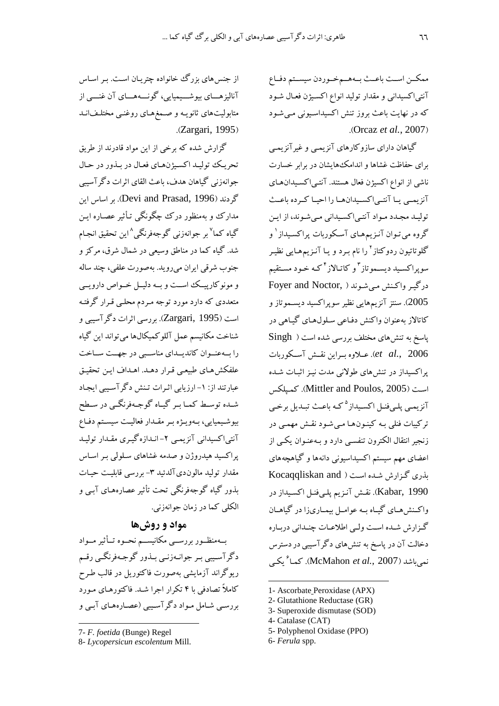ممكــن اســت باعــث بــههــمخــوردن سيســتم دفــاع آنتی|کسیدانی و مقدار تولید انواع اکسـیژن فعـال شـود که در نهایت باعث بروز تنش اکسیداسیونی می شود (Orcaz et al., 2007).

گیاهان دارای سازوکارهای آنزیمبی و غیر آنزیمبی برای حفاظت غشاها و اندامک هایشان در برابر خسارت ناشی از انواع اکسیژن فعال هستند. آنتـیاکسـیدانهـای آنزیمبی پیا آنتبی اکسیدانها را احییا کرده باعث توليد مجدد مـواد آنتـي|كسـيداني مـي شـوند، از ايـن گروه می تـوان آنـزیمهـای آسـکوربات پراکسـیداز ٰ و گلوتاتیون ردوکتاز<sup>۲</sup> را نام بـرد و یـا آنـزیـمهـایی نظیـر سویراکسـید دیسـموتاز <sup>۳</sup>و کاتـالاز <sup>۴</sup>کـه خـود مسـتقیم درگیر واکنش میشوند ( Foyer and Noctor, 2005). سنتز آنزيمهايي نظير سويراكسيد ديسـموتاز و کاتالاز پەعنوان واکنش دفیاعی سلول هیای گیباهی در یاسخ به تنش های مختلف بررسی شده است ( Singh et al., 2006). عبلاوه ببراين نقبش آسكوريات پراکسیداز در تنشهای طولانی مدت نیـز اثبـات شـده است (Mittler and Poulos, 2005). كميلكس آنزیمی پلـیفنـل اکسـیداز<sup>۵</sup>کـه باعـث تبـدیل برخـی ترکیبات فنلی بـه کینـون۱هـا مـیشـود نقـش مهمـی در زنجیر انتقال الکترون تنفسی دارد و بـهعنـوان یکـی از اعضای مهم سیستم اکسیداسیونی دانهها و گیاهچههای بذری گزارش شده است ( Kocaqqliskan and Kabar, 1990). نقش آنزيم پليفنل اكسيداز در واکـنش(هـای گیـاه بـه عوامـل بیمـاری(ا در گیاهـان گے: ارش شیدہ است ولیے اطلاعیات چنیدانی دربیارہ دخالت آن در پاسخ به تنشهای دگرآسیبی در دسترس نمیباشد (McMahon *et al.*, 2007). کما<sup>ء</sup>ُ یکی

1- Ascorbate Peroxidase (APX)

- 2- Glutathione Reductase (GR)
- 3- Superoxide dismutase (SOD)
- 4- Catalase (CAT)
- 5- Polyphenol Oxidase (PPO)
- 6- Ferula spp.

از جنس های بزرگ خانواده چتریـان اسـت. بـر اسـاس آناليزهـــاي بيوشـــيميايي، گونـــههـــاي آن غنـــي از متابولیتهای ثانویـه و صـمغهـای روغنـی مختلـفانـد .(Zargari, 1995)

گزارش شده که برخی از این مواد قادرند از طریق تحريك توليد اكسيژنهاي فعال در بذور در حال جوانهزني گباهان هدف، پاعث القاي اثرات دگر آسبيي گردند (Devi and Prasad, 1996). بر اساس این مدارک و بهمنظور درک چگونگی تـأثیر عصـاره ایـن گياه كما<sup>٧</sup>بر جوانهزني گوجهفرنگي^اين تحقيق انجـام شد. گیاه کما در مناطق وسیعی در شمال شرق، مرکز و جنوب شرقي ايران مي رويد. بهصورت علفي، چند ساله و مونوکارپیک است و بـه دلیـل خـواص دارویــی متعددی که دارد مورد توجه مـردم محلـي قـرار گرفتـه است (Zargari, 1995). بورسی اثرات دگر آسیبی و شناخت مکانیسم عمل آللوکمیکالها می تواند این گیاه را به عنوان كانديلداي مناسبي در جهت ساخت علفكشهاي طبيعي قرار دهـد. اهـداف ايـن تحقيـق عبارتند از: ١- ارزيابي اثـرات تـنش دگرآسـيبي ايجـاد شـده توسـط کمـا بـر گیـاه گوجـهفرنگـي در سـطح بیوشیمیایی، بےوییژه بیر مقبدار فعالیت سیستم دفیاع آنتیاکسیدانی آنزیمی ۲–انـدازهگیـری مقـدار تولیـد پراکسید هیدروژن و صدمه غشاهای سلولی بـر اسـاس مقدار توليد مالون دي آلدئيد ٣- بررسي قابليت حيـات بذور گياه گوجهفرنگي تحت تأثير عصارههـاي آبـي و الكلبي كما در زمان جوانهزني.

## مواد و روشها

بــهمنظــور بررســي مكانيســم نحــوه تــأثير مــواد دگرآسیبی بـر جوانـهزنـی بـذور گوجـهفرنگـی رقـم ربوگراند آزمایشی پهصورت فاکتوریل در قالب طبرح کاملاً تصادفی با ۴ تکرار اجرا شـد. فاکتورهـای مـورد بررسی شامل مواد دگرآسیبی (عصارههای آببی و

8- Lycopersicun escolentum Mill.

<sup>7-</sup> F. foetida (Bunge) Regel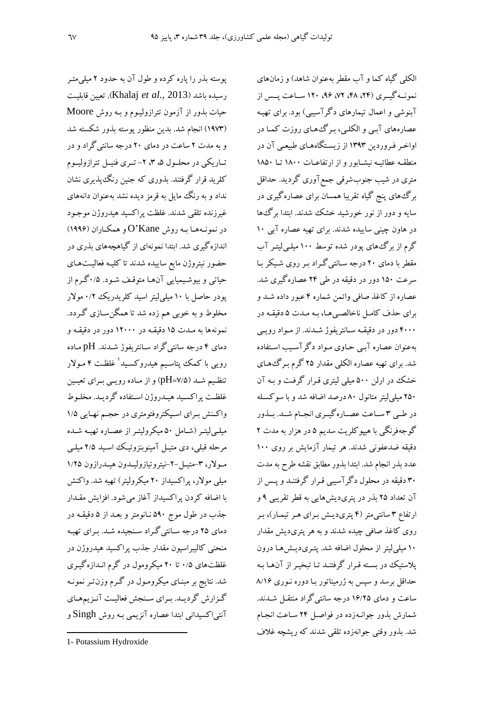یوسته بذر را یاره کرده و طول آن به حدود ۲ میلی متـر رسيده باشد (Khalaj *et al.*, 2013). تعيين قابليت حیات بذور از آزمون تترازولیوم و بـه روش Moore (۱۹۷۳) انجام شد. بدین منظور پوسته بذور شکسته شد و به مدت ۲ ساعت در دمای ۲۰ درجه سانتی گراد و در تــاریکی در محلــول ۵، ۳، ۲- تــری فنیــل تترازولیــوم کلرید قرار گرفتند. بذوری که جنین رنگءیذیری نشان نداد و به رنگ مایل به قرمز دیده نشد بهعنوان دانههای غیرزنده تلقی شدند. غلظت پراکسید هیدروژن موجـود در نمونـههـا بـه روش O'Kane و همكـاران (١٩٩۶) اندازه گیری شد. ابتدا نمونهای از گیاهچههای بذری در حضور نيتروژن مايع ساييده شدند تا كليـه فعاليـتهـاي حياتي و بيوشيميايي آنهـا متوقـف شـود. ۰/۵گرم از پودر حاصل با ۱۰ میلی لیتر اسید کلریدریک ۰/۲ مولار مخلوط و به خوبی هم زده شد تا همگن سـازی گـردد. نمونهها به مـدت ۱۵ دقیقـه در ۱۲۰۰۰ دور در دقیقـه و دمای ۴ درجه سانتیگراد سـانتریفوژ شــدند. pH مـاده رویی با کمک یتاسیم هیدروکسید<sup>ا</sup> غلظت ۴ مـولار تنظیم شـد (۷/۵=pH) و از مـاده رویــی بـرای تعیــین غلظت پراکسید هیـدروژن اسـتفاده گردیـد. مخلـوط واکـنش بـراي اسـيکتروفتومتري در حجـم نهـايي ۱/۵ میلـی(پتـر (شـامل ۵۰ میکرولیتـر از عصـاره تهیــه شــده مرحله قبلې، دې متيـل آمينوبنزوئيـک اسـيد ۲/۵ ميلـې مولار، ۳-متيـل-۲-نيتروتيازوليـدون هيـدرازون ۱/۲۵ میلی مولار، پراکسیداز ۲۰ میکرولیتر) تهیه شد. واکنش با اضافه کردن پراکسیداز آغاز میشود. افزایش مقـدار جذب در طول موج ۵۹۰ نـانومتر و بعـد از ۵ دقیقـه در دمای ۲۵ درجه سانتیگراد سنجیده شد. برای تهیه منحني کاليبراسيون مقدار جذب پراکسيد هيدروژن در غلظتهای ۰/۵ تا ۲۰ میکرومول در گرم انـدازهگیـری شد. نتایج بر مبنـای میکرومـول در گـرم وزن تـر نمونـه گـزارش گردیـد. بـرای سـنجش فعالیـت آنـزیمهـای آنتی|کسیدانی ابتدا عصاره آنزیمی بـه روش Singh و

الکلی گیاه کما و آب مقطر بهعنوان شاهد) و زمانهای نمونسه گیری (۲۴، ۴۸، ۹۶، ۱۲۰ هساعت پسس از آبنوشی و اعمال تیمارهای دگر آسیبی) بود. برای تهیـه عصارههای آببی و الکلبی، بـرگ های روزت کمـا در اواخـر فـروردین ۱۳۹۳ از زیسـتگاههـای طبیعـی آن در منطقـه عطائيـه نيشـابور و از ارتفاعـات ١٨٠٠ تــا ١٨٥٠ متري در شيب جنوبشرقي جمع آوري گرديد. حداقل برگءهای پنج گیاه تقریبا همسان برای عصاره گیری در سایه و دور از نور خورشید خشک شدند. ابتدا برگ ها در هاون چینی ساییده شدند. برای تهیه عصاره آبی ۱۰ گرم از برگ های یودر شده توسط ۱۰۰ میلـی لیتـر آب مقطر یا دمای ۲۰ درجه سانتی گراد پر روی شبکر با سرعت ۱۵۰ دور در دقیقه در طی ۲۴ عصارهگیری شد. عصاره از کاغذ صافی واتمن شماره ۴ عبور داده شـد و براي حذف كامل ناخالصي هـا، بـه مـدت ۵ دقيقـه در ۴۰۰۰ دور در دقیقـه سـانتریفوژ شـدند. از مـواد رویـی بهعنوان عصاره آببي حـاوي مـواد دگر آسـيب اسـتفاده شد. برای تهیه عصاره الکلی مقدار ۲۵ گرم بر گ۱های خشک در ارلن ۵۰۰ میلی لیتری قـرار گرفـت و بـه آن ۲۵۰ میلی لیتر متانول ۸۰ درصد اضافه شد و با سوکسله در طبی ۳ سـاعت عصـاره گیـری انجـام شـد. بـذور گوجهفرنگی با هیپوکلریت سدیم ۵ در هزار به مدت ۲ دقیقه ضدعفونی شدند. هر تیمار آزمایش بر روی ۱۰۰ عدد بذر انجام شد. ابتدا بذور مطابق نقشه طرح به مدت ۳۰ دقیقه در محلول دگر آسیبی قـرار گرفتنــد و پــس از آن تعداد ۲۵ بذر در پتریدیشهایی به قطر تقریبی ۹ و ارتفاع ۳ سانتی متر (۴ پتری دیـش بـرای هـر تيمـار)، بـر روی کاغذ صافی چیده شدند و به هر پتریدیش مقدار ۱۰ میلی لیتر از محلول اضافه شد. پتـریدیـش۵مـا درون یلاستیک در بسته قـرار گرفتنـد تـا تبخیـر از آنهـا بـه حداقل برسد و سپس به ژرمیناتور بـا دوره نـوری ۸/۱۶ ساعت و دمای ۱۶/۲۵ درجه سانتیگراد منتقـل شـدند. شمارش بذور جوانـهزده در فواصـل ۲۴ سـاعت انجـام شد. بذور وقتی جوانهزده تلقی شدند که ریشچه غلاف

<sup>1-</sup> Potassium Hydroxide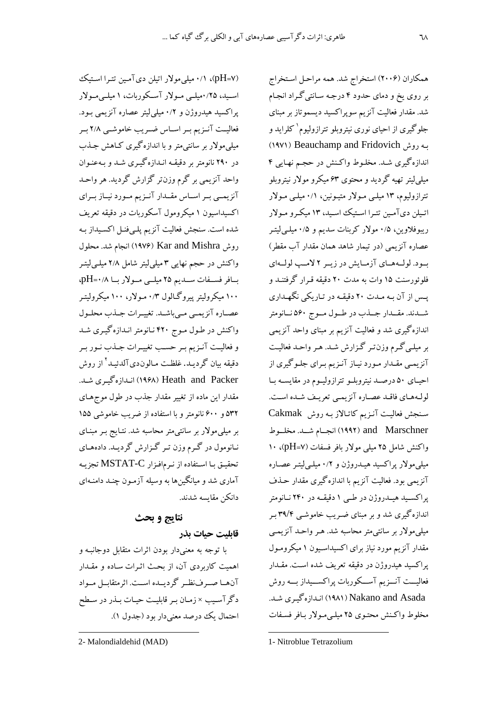(pH=۷)، ۰/۱ میلی مولار اتیلن دی آمین تترا استیک اسـید، ۰/۲۵میلــی مــولار آســکوربات، ۱میلــیمــولار یراکسید هیدروژن و ۰/۲ میلی لیتر عصاره آنزیمی بـود. فعالیت آنـزیم بـر اسـاس ضـریب خاموشـی ۲/۸ بـر میلیمولار بر سانتیمتر و با اندازهگیری کـاهش جـذب در ۲۹۰ نانومتر بر دقیقـه انـدازهگیـری شـد و بـهعنـوان واحد آنزیمی بر گرم وزن تر گزارش گردید. هر واحـد آنزیمــی بــر اســاس مقــدار آنــزیم مــورد نیــاز بــرای اکسیداسیون ۱ میکرومول آسکوربات در دقیقه تعریف شده است. سنجش فعالیت آنزیم پلـیفنـل اکسـیداز بـه روش Kar and Mishra (١٩٧۶) انجام شد. محلول واکنش در حجم نهایی ۳ میلی لیتر شامل ۲/۸ میلـی لیتـر بافر فسلفات سلديم ٢٥ ميلي مولار با ٠/٨+.pH ۱۰۰ میکرولیتر پیروگالول ۰/۳ مـولار، ۱۰۰ میکرولیتـر عصاره آنزيمـي مـيباشـد. تغييـرات جـذب محلـول واکنش در طـول مـوج ۴۲۰ نـانومتر انـدازهگیـری شـد و فعالیت آنـزیم بـر حسـب تغییـرات جـذب نـور بـر دقبقه ببان گرديـد. غلظـت مـالون(ديآلدئبـد<sup>۲</sup> از روش Heath and Packer) اندازه گیری شد. مقدار این ماده از تغییر مقدار جذب در طول موجهای ۵۳۲ و ۶۰۰ نانومتر و با استفاده از ضریب خاموشی ۱۵۵ بر میلی مولار بر سانتی متر محاسبه شد. نتـایج بـر مبنـای نـانومول در گـرم وزن تـر گـزارش گرديـد. دادههـاي تحقيـق بـا اسـتفاده از نـرمافـزار MSTAT-C تجزيـه آماری شد و میانگینها به وسیله آزمـون چنـد دامنـهای دانكن مقايسه شدند.

# نتايج و بحث

## قابلىت حىات بذر

با توجه به معنىدار بودن اثرات متقابل دوجانبـه و اهمیت کاربردی آن، از بحث اثـرات سـاده و مقـدار آنهما صهرفنظم گردیلده است. اثرمتقابیل مسواد دگرآسـيب ×زمـان بـر قابليـت حيـات بـذر در سـطح احتمال يک درصد معنى دار بود (جدول ١).

همکاران (۲۰۰۶) استخراج شد. همه مراحل استخراج بر روی یخ و دمای حدود ۴ درجه سانتیگراد انجام شد. مقدار فعالیت آنزیم سویراکسید دیسموتاز بر مبنای جلوگیری از احیای نوری نیتروبلو تترازولیوم`کلراید و (١٩٧١) Beauchamp and Fridovich اندازهگیری شـد. مخلـوط واکـنش در حجـم نهـایی ۴ میلم لیتر تھیه گردید و محتوی ۶۳ میکرو مولار نیتروبلو تترازولیوم، ۱۳ میلبی مـولار متیـونین، ۰/۱ میلـی مـولار اتیلن دیآمین تترا استیک اسید، ۱۳ میکرو مولار ریبوفلاوین، ۰/۵ مولار کربنات سدیم و ۰/۵ میلـیلیتـر عصاره آنزیمی (در تیمار شاهد همان مقدار آب مقطر) بود. لولههمای آزمایش در زیبر ۲ لامپ لولهای فلوئورسنت ۱۵ وات به مدت ۲۰ دقیقه قـرار گرفتنـد و یس از آن به مـدت ۲۰ دقیقـه در تـاریکی نگهـداری شـدند. مقـدار جـذب در طـول مـوج ۵۶۰ نــانومتر اندازهگیری شد و فعالیت آنزیم بر مبنای واحد آنزیمی بر میلبی گـرم وزن٦تـر گـزارش شـد. هـر واحـد فعالیـت آنزیمبی مقـدار مـورد نیـاز آنـزیم بـرای جلـوگیری از احیـای ۵۰ درصـد نیتروبلـو تترازولیـوم در مقایسـه بـا لولههاي فاقلد عصاره آنزيميي تعريف شده است. سنجش فعالیت آنزیم کاتالاز به روش Cakmak and Marschner (١٩٩٢) انجـام شــد. مخلـوط واكنش شامل ٢٥ ميلي مولار بافر فسفات (pH=٧)، ١٠ میلیمولار پراکسید هیـدروژن و ۰/۲ میلـیلیتـر عصـاره آنزیمی بود. فعالیت آنزیم با اندازهگیری مقدار حـذف پراکسید هیـدروژن در طـی ۱ دقیقـه در ۲۴۰ نـانومتر اندازه گیری شد و بر مبنای ضـریب خاموشـی ۳۹/۴ بـر میلی مولار بر سانتی متر محاسبه شد. هـر واحـد آنزیمـی .<br>مقدار آنزیم مورد نیاز برای اکسیداسیون ۱ میکرومـول یراکسید هیدروژن در دقیقه تعریف شده است. مقـدار فعالیـــت آنـــزیم آســـکوربات پراکســـیداز بـــه روش اندازه گیری شد. (۱۹۸۱) Nakano and Asada مخلوط واكنش محتوى ٢۵ ميليىمولار بافر فسفات

<sup>2-</sup> Malondialdehid (MAD)

<sup>1-</sup> Nitroblue Tetrazolium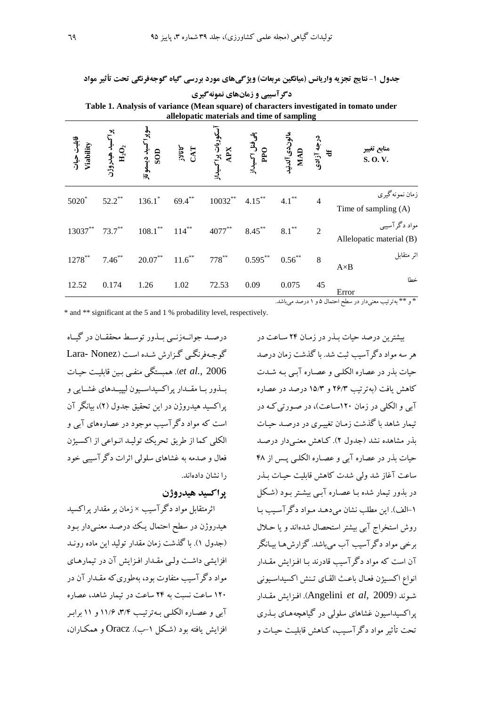جدول ۱- نتایج تجزیه واریانس (میانگین مربعات) ویژگیهای مورد بررسی گیاه گوجهفرنگی تحت تأثیر مواد دگرآسیبی و زمانهای نمونهگیری Table 1. Analysis of variance (Mean square) of characters investigated in tomato under

| allelopatic materials and time of sampling |                                        |                                    |                    |                                   |                               |                                          |                |                                           |  |
|--------------------------------------------|----------------------------------------|------------------------------------|--------------------|-----------------------------------|-------------------------------|------------------------------------------|----------------|-------------------------------------------|--|
| قابلیت حیات<br>Viability                   | سىد ھىدروژن $\mathbf{H}_2\mathbf{O}_2$ | سوپر <i>اکسید دیسمو</i> تاز<br>SOD | <b>SYET</b><br>CAT | سکوربات پر <i>ا</i> کسیداز<br>XPX | پلی فنل اکسیداز<br>PPO<br>PPO | مالونډیآلدئید<br>MAD<br>درجه آزادی<br>tf |                | منابع تغيير<br>S.O.V.                     |  |
| 5020*                                      | $52.2***$                              | $136.1^*$                          | $69.4***$          | $10032***$                        | $4.15***$                     | $4.1***$                                 | $\overline{4}$ | زمان نمونهگیری<br>Time of sampling (A)    |  |
| 13037**                                    | $73.7***$                              | $108.1***$                         | $114***$           | $4077***$                         | $8.45***$                     | $8.1***$                                 | $\overline{2}$ | مواد دگرآسیبی<br>Allelopatic material (B) |  |
| $1278***$                                  | $7.46^{**}$                            | $20.07***$                         | $11.6***$          | $778^{**}$                        | $0.595***$                    | $0.56***$                                | $\,8$          | اثر متقابل<br>$A \times B$                |  |
| 12.52                                      | 0.174                                  | 1.26                               | 1.02               | 72.53                             | 0.09                          | 0.075                                    | 45             | خطا<br>Error                              |  |

\* و \*\* به ترتیب معنیدار در سطح احتمال ۵ و ۱ درصد میباشد.

\* and \*\* significant at the 5 and 1 % probadility level, respectively.

درصيد جوانسهزنس پيذور توسيط محققيان در گساه گوجهفرنگے گزارش شده است (Lara- Nonez et al., 2006). همستگی منفی سن قابلیت حیات بـذور بـا مقــدار پراکسیداسـيون ليپيــدهاي غشــايي و یراکسبد هیدروژن در این تحقیق جدول (۲)، بیانگر آن است که مواد دگر آسیب موجود در عصارههای آبی و الکلی کما از طریق تحریک تولیـد انـواعی از اکسـیژن فعال و صدمه به غشاهای سلولی اثرات دگر آسیبی خود ۱٫ نشان دادهاند.

## **براكسيد هيدروژن**

اثر متقابل مواد دگر آسیب × زمان بر مقدار پر اکسید هیدروژن در سطح احتمال یک درصـد معنـیدار بـود (جدول ۱). با گذشت زمان مقدار تولید این ماده رونید افزایشی داشت ولبی مقـدار افـزایش آن در تیمارهـای مواد دگر آسیب متفاوت بود، بهطوری که مقــدار آن در ۱۲۰ ساعت نسبت به ۲۴ ساعت در تبمار شاهد، عصاره آبي و عصاره الكلبي به ترتيب ٣/٣، ١١/۶ و ١١ برابر افزایش بافته بود (شکل ۱–ب). Oracz و همکباران،

یشترین درصد حیات بیدر در زمیان ۲۴ سیاعت در هر سه مواد دگر آسبب ثبت شد. با گذشت زمان درصد حبات بذر در عصاره الکلبی و عصباره آب به شدت کاهش یافت (بهترتیب ۲۶/۳ و ۱۵/۳ درصد در عصاره آپی و الکلی در زمان ۱۲۰ساعت)، در صورتی کـه در تبمار شاهد با گذشت زمان تغییری در درصد حیات ىذر مشاهده نشد (جدول ۲). كـاهش معنـىدار درصـد حیات بذر در عصاره آبی و عصـاره الکلـی پـس از ۴۸ ساعت آغاز شد ولی شدت کاهش قابلیت حیـات بــذر در بذور تبمار شده با عصاره آب پیشتر بود (شکل ١-الف). ابن مطلب نشان می دهـد مـو اد دگر آسـب بـا روش استخراج آبی بیشتر استحصال شدهاند و یا حـلال برخي مواد دگر آسيب آب مي باشد. گزارش هـا بيـانگر آن است که مواد دگر آسیب قادرند بـا افـزایش مقــدار انواع اكسيؤن فعال باعث القاي تنش اكسيداسيوني شوند (Angelini *et al*, 2009). افزايش مقدار یراکسبداسبون غشاهای سلولی در گباهچههـای پـذری تحت تأثیر مواد دگر آسیب، کیاهش قابلیت حیات و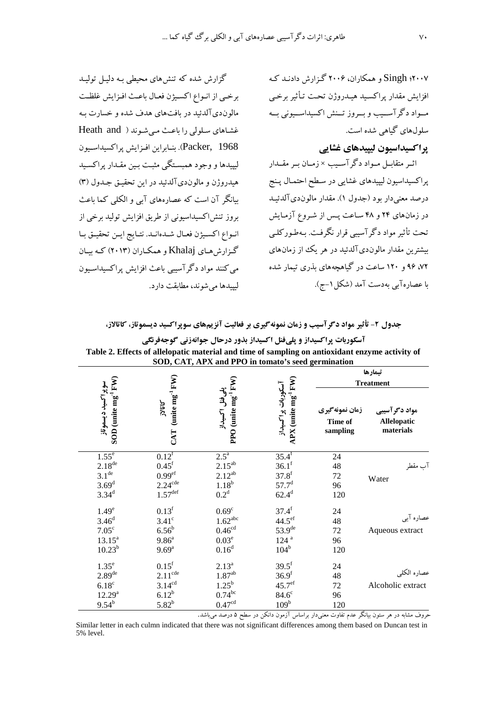۲۰۰۷؛ Singh و همکاران، ۲۰۰۶ گزارش دادنـد کـه افزايش مقدار يراكسـيد هيـدروژن تحت تـأثير برخـي مـواد دگر آســيب و بــروز تــنش اكسيداســيوني بــه سلولهای گیاهی شده است.

یر اکسیداسیون لیپیدهای غشایی

اثـر متقابـل مـواد دگرآسـيب ×زمـان بـر مقــدار پراکسیداسیون لیپیدهای غشایی در سطح احتمـال پـنج درصد معنى دار بو د (جدول ۱). مقدار مالون(ديآلدئيـد در زمانهای ۲۴ و ۴۸ ساعت پس از شـروع آزمـایش تحت تأثیر مواد دگرآسیبی قرار نگرفت. بـهطـورکلـی بیشترین مقدار مالوندیآلدئید در هر یک از زمانهای ۷۲، ۹۶ و ۱۲۰ ساعت در گیاهچههای بذری تیمار شده با عصارهآبي بهدست آمد (شكل ١–ج).

گزارش شده که تنشهای محیطی بـه دلیـل تولیـد برخيي از انبواع اكسيژن فعيال باعث افزايش غلظت مالون دي آلدئيد در بافتهاي هدف شده و خسارت بـه غشاهای سلولی را ماعث می شوند ( Heath and .<br>Packer, 1968). بنـابراين افـزايش پراكسيداسـيون لبیبدها و وجود همستگی مثبت سن مقدار پراکسبد هیدروژن و مالوندیآلدئید در این تحقیق جدول (۳) سانگر آن است که عصارههای آبی و الکلبی کما باعث بروز تنش|کسیداسیونی از طریق افزایش تولید برخی از انبواع اكسيژن فعيال شيدهانيد. نتبايج اين تحقيق بيا گزارش هبای Khalaj و همکباران (۲۰۱۳) کبه سان مي كنند مواد دگر آسيبي باعث افزايش پراكسيداسيون لیپیدها می شوند، مطابقت دارد.

#### جدول ۲- تأثیر مواد دگرآسیب و زمان نمونهگیری بر فعالیت آنزیمهای سوپراکسید دیسموتاز، کاتالاز،

| تيمارها<br><b>Treatment</b>                      |                                        |                                                                                               |                                                                                            |                                                                                                    |                                                                                  |  |
|--------------------------------------------------|----------------------------------------|-----------------------------------------------------------------------------------------------|--------------------------------------------------------------------------------------------|----------------------------------------------------------------------------------------------------|----------------------------------------------------------------------------------|--|
| مواد دگرآسیبی<br><b>Allelopatic</b><br>materials | زمان نمونه گیری<br>Time of<br>sampling | $APX$ (unite $mg^{-1}FW$ )<br>آسكوربات پراكسيداز                                              | PPO (unite mg <sup>-1</sup> FW)<br>بلى فنل اكسيداز                                         | $CAT$ (unite $mg^{-1}FW$ )<br><b>AARS</b>                                                          | SOD (unite mg <sup>-1</sup> FW)<br>سوپرا کسید دیسموتاز                           |  |
| آب مقطر<br>Water                                 | 24<br>48<br>72<br>96<br>120            | $35.4$ <sup>f</sup><br>$36.1^{\rm f}$<br>$37.8^{\rm f}$<br>$57.7^{\rm d}$<br>$62.4^{d}$       | $2.5^{\circ}$<br>$2.15^{ab}$<br>$2.12^{ab}$<br>$1.18^b$<br>0.2 <sup>d</sup>                | $0.12^{f}$<br>0.45 <sup>f</sup><br>$0.99^{\rm ef}$<br>$2.24$ <sup>cde</sup><br>$1.57^{\text{def}}$ | $1.55^e$<br>$2.18^{\text{de}}$<br>3.1 <sup>de</sup><br>$3.69^{d}$<br>$3.34^{d}$  |  |
| عصاره آبي<br>Aqueous extract                     | 24<br>48<br>72<br>96<br>120            | $37.4^f$<br>44.5 <sup>ef</sup><br>53.9 <sup>de</sup><br>$124$ <sup>a</sup><br>$104^b$         | 0.69 <sup>c</sup><br>$1.62$ <sup>abc</sup><br>0.46 <sup>cd</sup><br>$0.03^e$<br>$0.16^{d}$ | $0.13^{\rm f}$<br>$3.41^\circ$<br>$6.56^{\rm b}$<br>9.86 <sup>a</sup><br>$9.69^{a}$                | 1.49 <sup>e</sup><br>$3.46^{d}$<br>$7.05^{\circ}$<br>$13.15^a$<br>$10.23^{b}$    |  |
| عصاره الكلي<br>Alcoholic extract                 | 24<br>48<br>72<br>96<br>120            | $39.5^{\rm f}$<br>36.9 <sup>f</sup><br>$45.7^{\text{ef}}$<br>$84.6^\circ$<br>109 <sup>b</sup> | $2.13^{a}$<br>$1.87^{\rm ab}$<br>$1.25^{\rm b}$<br>$0.74^{bc}$<br>0.47 <sup>cd</sup>       | $0.15^{\rm f}$<br>$2.11^{\text{cde}}$<br>$3.14^{cd}$<br>$6.12^{b}$<br>$5.82^{b}$                   | $1.35^e$<br>2.89 <sup>de</sup><br>6.18 <sup>c</sup><br>$12.29^{a}$<br>$9.54^{b}$ |  |

آسکوربات پراکسیداز و پلیفنل اکسیداز بذور درحال جوانهزنی گوجهفرنگی Toble 2. Effects of allelenatio material and time of sempling on entiaridant enzyme activity of

حروف مشابه در هر ستون بیانگر عدم تفاوت معنیدار براساس آزمون دانکن در سطح ۵ درصد می باشد.

Similar letter in each culmn indicated that there was not significant differences among them based on Duncan test in 5% level.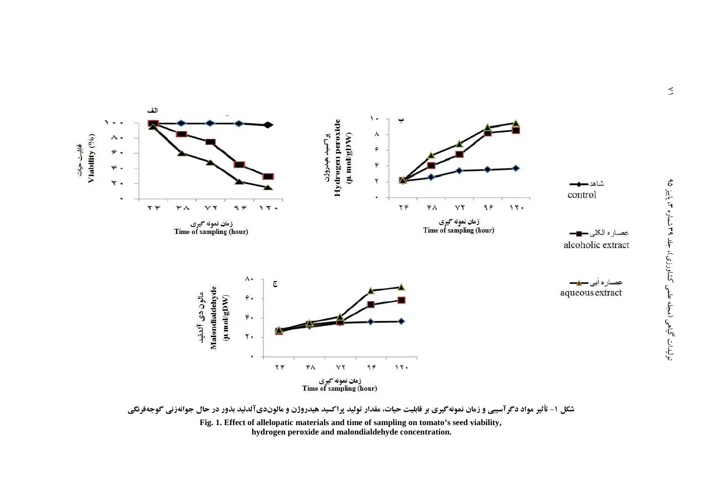

شکل ۱- تأثیر مواد دگرآسیبی و زمان نمونهگیری بر قابلیت حیات، مقدار تولید پراکسید هیدروژن و مالوندیآلدئید بذور در حال جوانهزنی گوجهفرنگی Fig. 1. Effect of allelopatic materials and time of sampling on tomato's seed viability, hydrogen peroxide and malondialdehyde concentration.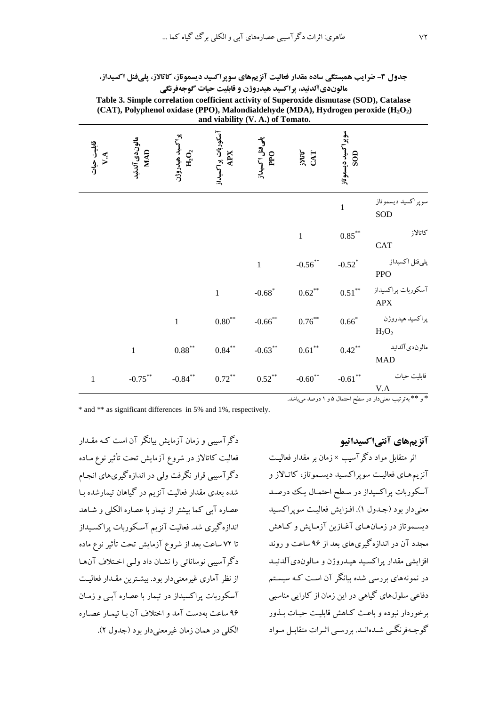| <b>مدول ۳- ضرایب همبستگی ساده مقدار فعالیت آنزیمهای سوپراکسید دیسموتاز، کاتالاز، پلیفنل اکسیداز.</b> |  |                                                        |  |  |  |
|------------------------------------------------------------------------------------------------------|--|--------------------------------------------------------|--|--|--|
|                                                                                                      |  | مالوندیآلدئید، پراکسید هیدروژن و قابلیت حیات گوجهفرنگی |  |  |  |

Table 3. Simple correlation coefficient activity of Superoxide dismutase (SOD), Catalase (CAT), Polyphenol oxidase (PPO), Malondialdehyde (MDA), Hydrogen peroxide  $(H_2O_2)$ and viability (V. A.) of Tomato.

| قابلیت حیات<br>۸.۷ | مالوندى آلدئيد<br>MAD | ِاكسيد هيدروژن<br>B <sub>2</sub> O2 | آسکوربات پراکسیداز<br>XPX | پلےفٹل اکسیداز<br>PPO | <b>JJULY</b><br>CAT   | سوپرا <sup>-</sup> کسید دیسموٽاز<br>SOD |                                                         |
|--------------------|-----------------------|-------------------------------------|---------------------------|-----------------------|-----------------------|-----------------------------------------|---------------------------------------------------------|
|                    |                       |                                     |                           |                       |                       | $\mathbf{1}$                            | سوپراکسید دیسموتاز<br>SOD                               |
|                    |                       |                                     |                           |                       | $\mathbf{1}$          | $0.85^{\ast\ast}$                       | كاتالاز<br>CAT                                          |
|                    |                       |                                     |                           | $\,1\,$               | $-0.56$ **            | $-0.52$ <sup>*</sup>                    | پلىفنل اكسيداز<br><b>PPO</b>                            |
|                    |                       |                                     | $\mathbf{1}$              | $-0.68$ <sup>*</sup>  | $0.62***$             | $0.51***$                               | آسكوربات پراكسيداز<br>${\rm APX}$                       |
|                    |                       | $\mathbf{1}$                        | $0.80^{\ast\ast}$         | $-0.66$ <sup>**</sup> | $0.76***$             | $0.66^{*}$                              | پراکسيد هيدروژن<br>$H_2O_2$                             |
|                    | $\mathbf{1}$          | $0.88^{**}$                         | $0.84***$                 | $-0.63***$            | $0.61^{\ast\ast}$     | $0.42***$                               | مالوندي آلدئيد<br><b>MAD</b>                            |
| $\mathbf{1}$       | $-0.75***$            | $-0.84***$                          | $0.72***$                 | $0.52***$             | $-0.60$ <sup>**</sup> | $\textbf{-0.61}^{\ast\ast}$             | قابليت حيات<br>V.A                                      |
|                    |                       |                                     |                           |                       |                       |                                         | * و ** بهترتیب معنیدار در سطح احتمال ۵ و ۱ درصد میباشد. |

\* and \*\* as significant differences in 5% and 1%, respectively.

آنز بہھای آنتے اکسیداتیو

اثر متقابل مواد دگر آسیب × زمان بر مقدار فعالیت .<br>آنزیمههای فعالیت سوپراکسید دیسـموتاز، کاتـالاز و آسکوربات پراکسیداز در سطح احتمـال یـک درصـد معنی دار بو د (جیدول ۱). افیزایش فعالیت سویر اکسید دیسموتاز در زمانهای آغازین آزمایش و کـاهش .<br>مجدد آن در اندازهگیریهای بعد از ۹۶ ساعت و روند افزايشي مقدار يراكسبد هبـدروژن و مـالون(دي آلدئبـد در نمونههای بررسی شده بیانگر آن است کـه سیسـتم دفاعی سلولهای گیاهی در این زمان از کارایی مناسبی برخوردار نبوده و باعث كباهش قابليت حيات بيذور گوجهفرنگے شدہانـد. بررسـی اثـرات متقابـل مـواد

دگر آسسی و زمان آزمایش پیانگر آن است کیه مقیدار فعالیت کاتالاز در شروع آزمایش تحت تأثیر نوع مـاده دگر آسیبی قرار نگرفت ولی در اندازه گیریهای انجـام .<br>شده ىعدى مقدار فعالبت آنزيم در گياهان تبمارشده سا عصاره آیی کما بیشتر از تیمار با عصاره الکلی و شباهد اندازه گیری شد. فعالیت آنزیم آسکوریات پراکسیداز تا ۷۲ ساعت بعد از شروع آزمایش تحت تأثیر نوع ماده دگر آسیبی نوساناتی را نشـان داد ولـی اخـتلاف آن۱هـا از نظر آماری غیرمعنیدار بود. بیشترین مقـدار فعالیـت آسکوربات پراکسیداز در تیمار با عصاره آببی و زمـان ۹۶ ساعت بهدست آمد و اختلاف آن با تیمیار عصباره الكلي در همان زمان غيرمعني دار بو د (جدول ٢).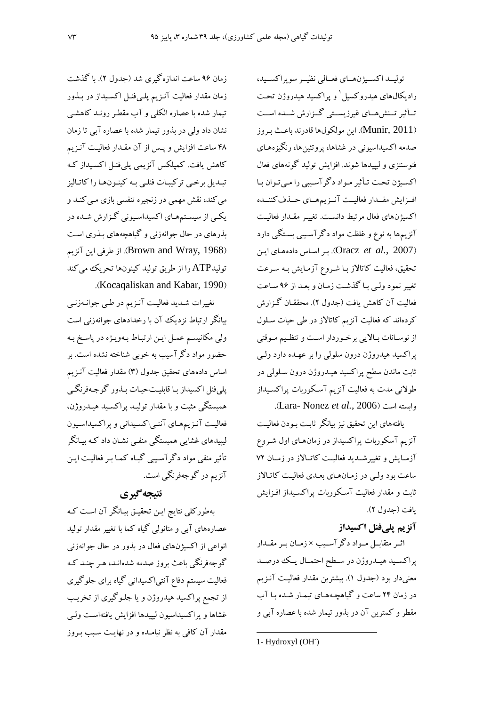توليـد اكسـيژنهـاي فعـالى نظيـر سوپراكسـيد، رادیکال،های هیدروکسیل و پراکسید هیدروژن تحت تـأثير تـنش9مـاي غيرزيسـتي گـزارش شـده اسـت (Munir, 2011). این مولکولها قادرند باعث بروز صدمه اکسیداسیونی در غشاها، پروتئینها، رنگیزههـای فتوسنتزی و لیپیدها شوند. افزایش تولید گونههای فعال اکسیژن تحت تـأثیر مـواد دگرآسـیبی را مـیتوان بـا افـزايش مقـدار فعاليـت آنـزيمهـاي حـذف كننـده اکسیژنهای فعال مرتبط دانست. تغییـر مقـدار فعالیـت آنزیمها به نوع و غلظت مواد دگرآسیبی بستگی دارد اين (Oracz et al., 2007). بر اساس دادههای اين تحقیق، فعالیت کاتالاز بـا شـروِع آزمـایش بـه سـرعت تغییر نمود ولبی با گذشت زمان و بعـد از ۹۶ سـاعت فعاليت آن كاهش يافت (جدول ٢). محققـان گـزارش کردهاند که فعالیت آنزیم کاتالاز در طی حیات سـلول از نوسـانات بـالايي برخـوردار اسـت و تنظـيم مـوقتي پراکسید هیدروژن درون سلولی را بر عهـده دارد ولـی ثابت ماندن سطح پراکسید هیـدروژن درون سـلولی در طولانی مدت به فعالیت آنزیم آسکوربات پراکسـیداز وابسته است (Lara- Nonez et al., 2006).

یافتههای این تحقیق نیز بیانگر ثابت بـودن فعالیـت آنزیم آسکوربات پراکسیداز در زمانهای اول شـروع آزمـایش و تغییرشـدید فعالیــت کاتـالاز در زمــان ۷۲ ساعت بود وليي در زمـانهـاي بعـدي فعاليـت كاتـالاز ثابت و مقدار فعالیت آسکوربات پراکسیداز افـزایش يافت (جدول ٢).

## آنزیم پلے فنل اکسیداز

اثـر متقابـل مـواد دگرآسـيب × زمـان بـر مقــدار پراکسـيد هيــدروژن در ســطح احتمــال يــک درصــد معنیدار بود (جدول ۱). بیشترین مقدار فعالیت آنـزیم در زمان ۲۴ ساعت و گیاهچـههـای تیمـار شـده بـا آب مقطر و کمترین آن در بذور تیمار شده با عصاره آبی و

زمان ۹۶ ساعت اندازه گیری شد (جدول ۲). با گذشت زمان مقدار فعالیت آنـزیم پلـیفنـل اکسـیداز در بـذور تیمار شده با عصاره الکلبی و آب مقطر رونـد کاهشـی نشان داد ولی در بذور تیمار شده با عصاره آبی تا زمان ۴۸ ساعت افزایش و پـس از آن مقـدار فعالیـت آنـزیم كاهش يافت. كميلكس آنزيمي يلي فنـل اكسـيداز كـه تبـديل برخـي تركيبـات فنلـي بـه كينـونهـا را كاتـاليز می کند، نقش مهمی در زنجیره تنفسی بازی مـی کنــد و یکمی از سیستمهمای اکسیداسیونی گزارش شـده در بذرهای در حال جوانهزنی و گیاهچههای بـذری اسـت (Brown and Wray, 1968). از طرفی این آنزیم توليدATP را از طريق توليد كينونها تحريك مي كند (Kocaqaliskan and Kabar, 1990).

تغییرات شـدید فعالیـت آنـزیم در طـي جوانـهزنـي بیانگر ارتباط نزدیک آن با رخدادهای جوانهزنی است ولي مكانيسم عمـل ايـن ارتبـاط بـهويـژه در پاسـخ بـه حضور مواد دگرآسیب به خوبی شناخته نشده است. بر اساس دادههای تحقیق جدول (۳) مقدار فعالیت آنـزیم پلیفنل اکسیداز با قابلیتحیات بـذور گوجـهفرنگـی همبستگی مثبت و با مقدار تولیـد پراکسـید هیـدروژن، فعالیت آنـزیمهـای آنتـیاکسـیدانی و پراکسیداسـیون لیپیدهای غشایی همبستگی منفـی نشـان داد کـه بیـانگر تأثیر منفی مواد دگرآسیبی گیاه کما بـر فعالیـت ایـن آنزیم در گوجهفرنگی است.

# نتيجه گيري

بهطورکلی نتایج ایـن تحقیـق بیـانگر آن اسـت کـه عصارههای آبی و متانولی گیاه کما با تغییر مقدار تولید انواعی از اکسیژنهای فعال در بذور در حال جوانهزنی گوجهفرنگی باعث بروز صدمه شدهانـد، هـر چنـد کـه فعالیت سیستم دفاع آنتی|کسیدانی گیاه برای جلوگیری از تجمع پراکسید هیدروژن و یا جلـوگیری از تخریـب غشاها و پراکسیداسیون لیپیدها افزایش یافتهاست ولبی مقدار آن کافی به نظر نیامـده و در نهایـت سـبب بـروز

<sup>1-</sup> Hydroxyl (OH<sup>-</sup>)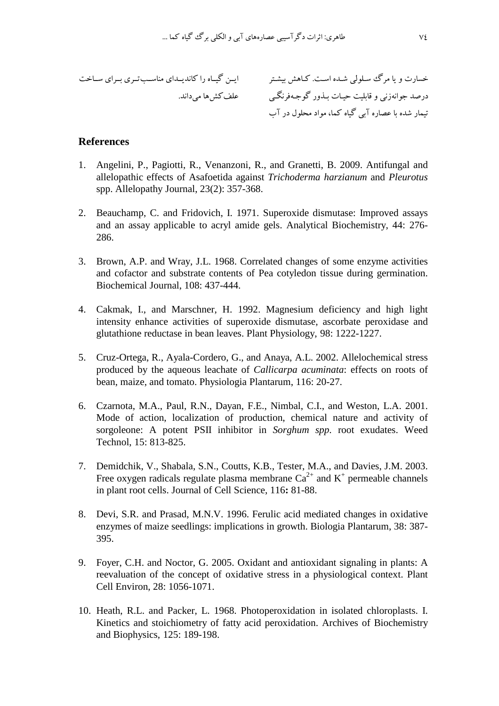-: E:7 .: : 98: [- NK :-& D:T 1: N:\_ 8 DT k S" 
48= 
67 " Z; 6( K:: -:: -::(w:: ::7  :: G:: . E7 c8;

### **References**

- 1. Angelini, P., Pagiotti, R., Venanzoni, R., and Granetti, B. 2009. Antifungal and allelopathic effects of Asafoetida against *Trichoderma harzianum* and *Pleurotus*  spp. Allelopathy Journal, 23(2): 357-368.
- 2. Beauchamp, C. and Fridovich, I. 1971. Superoxide dismutase: Improved assays and an assay applicable to acryl amide gels. Analytical Biochemistry, 44: 276- 286.
- 3. Brown, A.P. and Wray, J.L. 1968. Correlated changes of some enzyme activities and cofactor and substrate contents of Pea cotyledon tissue during germination. Biochemical Journal, 108: 437-444.
- 4. Cakmak, I., and Marschner, H. 1992. Magnesium deficiency and high light intensity enhance activities of superoxide dismutase, ascorbate peroxidase and glutathione reductase in bean leaves. Plant Physiology, 98: 1222-1227.
- 5. Cruz-Ortega, R., Ayala-Cordero, G., and Anaya, A.L. 2002. Allelochemical stress produced by the aqueous leachate of *Callicarpa acuminata*: effects on roots of bean, maize, and tomato. Physiologia Plantarum, 116: 20-27.
- 6. Czarnota, M.A., Paul, R.N., Dayan, F.E., Nimbal, C.I., and Weston, L.A. 2001. Mode of action, localization of production, chemical nature and activity of sorgoleone: A potent PSII inhibitor in *Sorghum spp*. root exudates. Weed Technol, 15: 813-825.
- 7. Demidchik, V., Shabala, S.N., Coutts, K.B., Tester, M.A., and Davies, J.M. 2003. Free oxygen radicals regulate plasma membrane  $Ca^{2+}$  and  $K^+$  permeable channels in plant root cells. Journal of Cell Science, 116**:** 81-88.
- 8. Devi, S.R. and Prasad, M.N.V. 1996. Ferulic acid mediated changes in oxidative enzymes of maize seedlings: implications in growth. Biologia Plantarum, 38: 387- 395.
- 9. Foyer, C.H. and Noctor, G. 2005. Oxidant and antioxidant signaling in plants: A reevaluation of the concept of oxidative stress in a physiological context. Plant Cell Environ, 28: 1056-1071.
- 10. Heath, R.L. and Packer, L. 1968. Photoperoxidation in isolated chloroplasts. I. Kinetics and stoichiometry of fatty acid peroxidation. Archives of Biochemistry and Biophysics, 125: 189-198.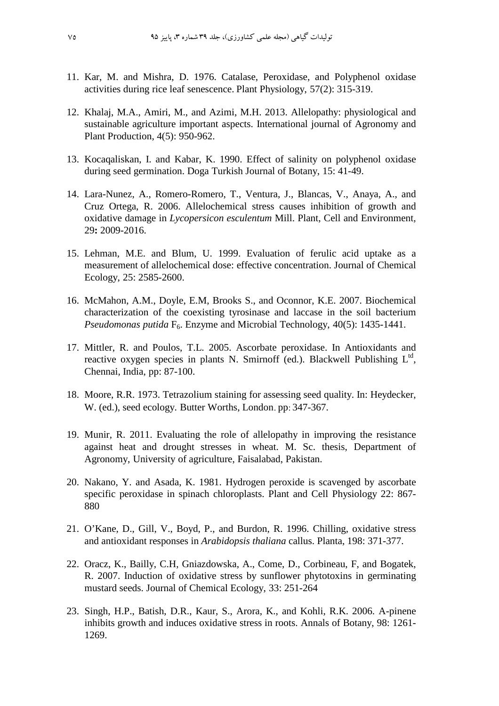- 11. Kar, M. and Mishra, D. 1976. Catalase, Peroxidase, and Polyphenol oxidase activities during rice leaf senescence. Plant Physiology, 57(2): 315-319.
- 12. Khalaj, M.A., Amiri, M., and Azimi, M.H. 2013. Allelopathy: physiological and sustainable agriculture important aspects. International journal of Agronomy and Plant Production, 4(5): 950-962.
- 13. Kocaqaliskan, I. and Kabar, K. 1990. Effect of salinity on polyphenol oxidase during seed germination. Doga Turkish Journal of Botany, 15: 41-49.
- 14. Lara-Nunez, A., Romero-Romero, T., Ventura, J., Blancas, V., Anaya, A., and Cruz Ortega, R. 2006. Allelochemical stress causes inhibition of growth and oxidative damage in *Lycopersicon esculentum* Mill. Plant, Cell and Environment*,*  29**:** 2009-2016.
- 15. Lehman, M.E. and Blum, U. 1999. Evaluation of ferulic acid uptake as a measurement of allelochemical dose: effective concentration. Journal of Chemical Ecology, 25: 2585-2600.
- 16. McMahon, A.M., Doyle, E.M, Brooks S., and Oconnor, K.E. 2007. Biochemical characterization of the coexisting tyrosinase and laccase in the soil bacterium *Pseudomonas putida* F<sub>6</sub>. Enzyme and Microbial Technology, 40(5): 1435-1441.
- 17. Mittler, R. and Poulos, T.L. 2005. Ascorbate peroxidase. In Antioxidants and reactive oxygen species in plants N. Smirnoff (ed.). Blackwell Publishing  $L^{td}$ , Chennai, India, pp: 87-100.
- 18. Moore, R.R. 1973. Tetrazolium staining for assessing seed quality. In: Heydecker, W. (ed.), seed ecology. Butter Worths, London. pp: 347-367.
- 19. Munir, R. 2011. Evaluating the role of allelopathy in improving the resistance against heat and drought stresses in wheat. M. Sc. thesis, Department of Agronomy, University of agriculture, Faisalabad, Pakistan.
- 20. Nakano, Y. and Asada, K. 1981. Hydrogen peroxide is scavenged by ascorbate specific peroxidase in spinach chloroplasts. Plant and Cell Physiology 22: 867- 880
- 21. O'Kane, D., Gill, V., Boyd, P., and Burdon, R. 1996. Chilling, oxidative stress and antioxidant responses in *Arabidopsis thaliana* callus. Planta, 198: 371-377.
- 22. Oracz, K., Bailly, C.H, Gniazdowska, A., Come, D., Corbineau, F, and Bogatek, R. 2007. Induction of oxidative stress by sunflower phytotoxins in germinating mustard seeds. Journal of Chemical Ecology, 33: 251-264
- 23. Singh, H.P., Batish, D.R., Kaur, S., Arora, K., and Kohli, R.K. 2006. A-pinene inhibits growth and induces oxidative stress in roots. Annals of Botany, 98: 1261- 1269.